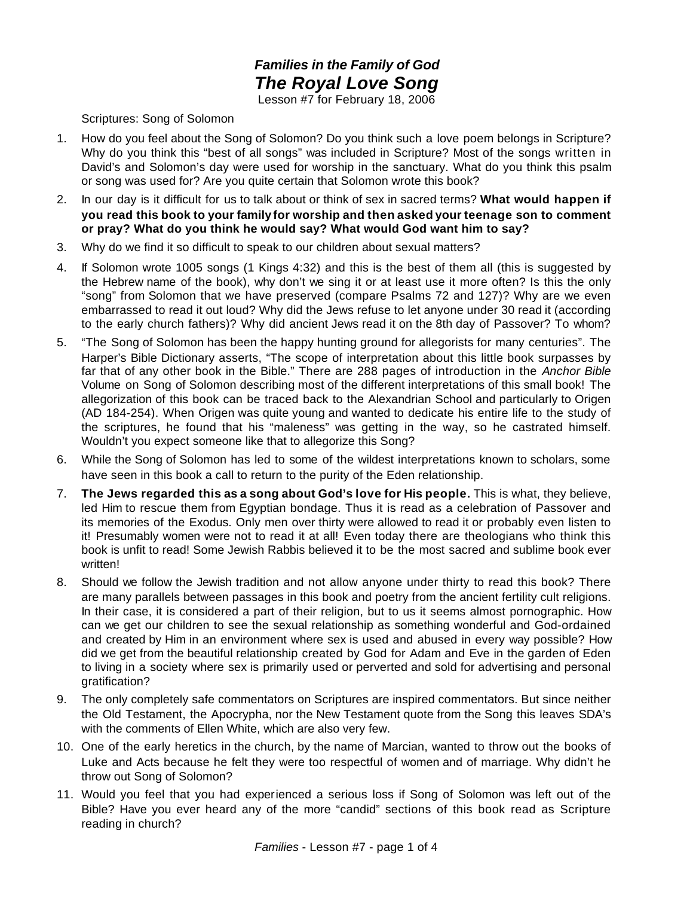## *Families in the Family of God The Royal Love Song*

Lesson #7 for February 18, 2006

## Scriptures: Song of Solomon

- 1. How do you feel about the Song of Solomon? Do you think such a love poem belongs in Scripture? Why do you think this "best of all songs" was included in Scripture? Most of the songs written in David's and Solomon's day were used for worship in the sanctuary. What do you think this psalm or song was used for? Are you quite certain that Solomon wrote this book?
- 2. In our day is it difficult for us to talk about or think of sex in sacred terms? **What would happen if you read this book to your family for worship and then asked your teenage son to comment or pray? What do you think he would say? What would God want him to say?**
- 3. Why do we find it so difficult to speak to our children about sexual matters?
- 4. If Solomon wrote 1005 songs (1 Kings 4:32) and this is the best of them all (this is suggested by the Hebrew name of the book), why don't we sing it or at least use it more often? Is this the only "song" from Solomon that we have preserved (compare Psalms 72 and 127)? Why are we even embarrassed to read it out loud? Why did the Jews refuse to let anyone under 30 read it (according to the early church fathers)? Why did ancient Jews read it on the 8th day of Passover? To whom?
- 5. "The Song of Solomon has been the happy hunting ground for allegorists for many centuries". The Harper's Bible Dictionary asserts, "The scope of interpretation about this little book surpasses by far that of any other book in the Bible." There are 288 pages of introduction in the *Anchor Bible* Volume on Song of Solomon describing most of the different interpretations of this small book! The allegorization of this book can be traced back to the Alexandrian School and particularly to Origen (AD 184-254). When Origen was quite young and wanted to dedicate his entire life to the study of the scriptures, he found that his "maleness" was getting in the way, so he castrated himself. Wouldn't you expect someone like that to allegorize this Song?
- 6. While the Song of Solomon has led to some of the wildest interpretations known to scholars, some have seen in this book a call to return to the purity of the Eden relationship.
- 7. **The Jews regarded this as a song about God's love for His people.** This is what, they believe, led Him to rescue them from Egyptian bondage. Thus it is read as a celebration of Passover and its memories of the Exodus. Only men over thirty were allowed to read it or probably even listen to it! Presumably women were not to read it at all! Even today there are theologians who think this book is unfit to read! Some Jewish Rabbis believed it to be the most sacred and sublime book ever written!
- 8. Should we follow the Jewish tradition and not allow anyone under thirty to read this book? There are many parallels between passages in this book and poetry from the ancient fertility cult religions. In their case, it is considered a part of their religion, but to us it seems almost pornographic. How can we get our children to see the sexual relationship as something wonderful and God-ordained and created by Him in an environment where sex is used and abused in every way possible? How did we get from the beautiful relationship created by God for Adam and Eve in the garden of Eden to living in a society where sex is primarily used or perverted and sold for advertising and personal gratification?
- 9. The only completely safe commentators on Scriptures are inspired commentators. But since neither the Old Testament, the Apocrypha, nor the New Testament quote from the Song this leaves SDA's with the comments of Ellen White, which are also very few.
- 10. One of the early heretics in the church, by the name of Marcian, wanted to throw out the books of Luke and Acts because he felt they were too respectful of women and of marriage. Why didn't he throw out Song of Solomon?
- 11. Would you feel that you had experienced a serious loss if Song of Solomon was left out of the Bible? Have you ever heard any of the more "candid" sections of this book read as Scripture reading in church?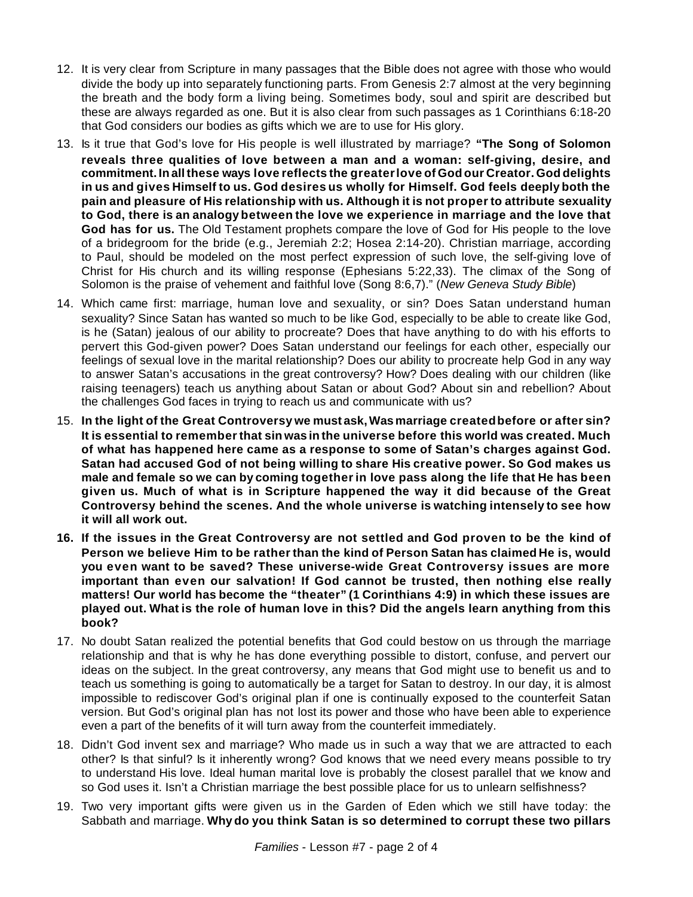- 12. It is very clear from Scripture in many passages that the Bible does not agree with those who would divide the body up into separately functioning parts. From Genesis 2:7 almost at the very beginning the breath and the body form a living being. Sometimes body, soul and spirit are described but these are always regarded as one. But it is also clear from such passages as 1 Corinthians 6:18-20 that God considers our bodies as gifts which we are to use for His glory.
- 13. Is it true that God's love for His people is well illustrated by marriage? **"The Song of Solomon reveals three qualities of love between a man and a woman: self-giving, desire, and commitment. In allthese ways love reflects the greaterlove of God our Creator. God delights in us and gives Himself to us. God desires us wholly for Himself. God feels deeply both the pain and pleasure of His relationship with us. Although it is not proper to attribute sexuality to God, there is an analogy between the love we experience in marriage and the love that God has for us.** The Old Testament prophets compare the love of God for His people to the love of a bridegroom for the bride (e.g., Jeremiah 2:2; Hosea 2:14-20). Christian marriage, according to Paul, should be modeled on the most perfect expression of such love, the self-giving love of Christ for His church and its willing response (Ephesians 5:22,33). The climax of the Song of Solomon is the praise of vehement and faithful love (Song 8:6,7)." (*New Geneva Study Bible*)
- 14. Which came first: marriage, human love and sexuality, or sin? Does Satan understand human sexuality? Since Satan has wanted so much to be like God, especially to be able to create like God, is he (Satan) jealous of our ability to procreate? Does that have anything to do with his efforts to pervert this God-given power? Does Satan understand our feelings for each other, especially our feelings of sexual love in the marital relationship? Does our ability to procreate help God in any way to answer Satan's accusations in the great controversy? How? Does dealing with our children (like raising teenagers) teach us anything about Satan or about God? About sin and rebellion? About the challenges God faces in trying to reach us and communicate with us?
- 15. **In the light of the Great Controversy we must ask,Wasmarriage createdbefore or after sin? It is essential to rememberthat sin was in the universe before this world was created. Much of what has happened here came as a response to some of Satan's charges against God. Satan had accused God of not being willing to share His creative power. So God makes us male and female so we can by coming together in love pass along the life that He has been given us. Much of what is in Scripture happened the way it did because of the Great Controversy behind the scenes. And the whole universe is watching intensely to see how it will all work out.**
- **16. If the issues in the Great Controversy are not settled and God proven to be the kind of Person we believe Him to be ratherthan the kind of Person Satan has claimed He is, would you even want to be saved? These universe-wide Great Controversy issues are more important than even our salvation! If God cannot be trusted, then nothing else really matters! Our world has become the "theater" (1 Corinthians 4:9) in which these issues are played out. What is the role of human love in this? Did the angels learn anything from this book?**
- 17. No doubt Satan realized the potential benefits that God could bestow on us through the marriage relationship and that is why he has done everything possible to distort, confuse, and pervert our ideas on the subject. In the great controversy, any means that God might use to benefit us and to teach us something is going to automatically be a target for Satan to destroy. In our day, it is almost impossible to rediscover God's original plan if one is continually exposed to the counterfeit Satan version. But God's original plan has not lost its power and those who have been able to experience even a part of the benefits of it will turn away from the counterfeit immediately.
- 18. Didn't God invent sex and marriage? Who made us in such a way that we are attracted to each other? Is that sinful? Is it inherently wrong? God knows that we need every means possible to try to understand His love. Ideal human marital love is probably the closest parallel that we know and so God uses it. Isn't a Christian marriage the best possible place for us to unlearn selfishness?
- 19. Two very important gifts were given us in the Garden of Eden which we still have today: the Sabbath and marriage. **Why do you think Satan is so determined to corrupt these two pillars**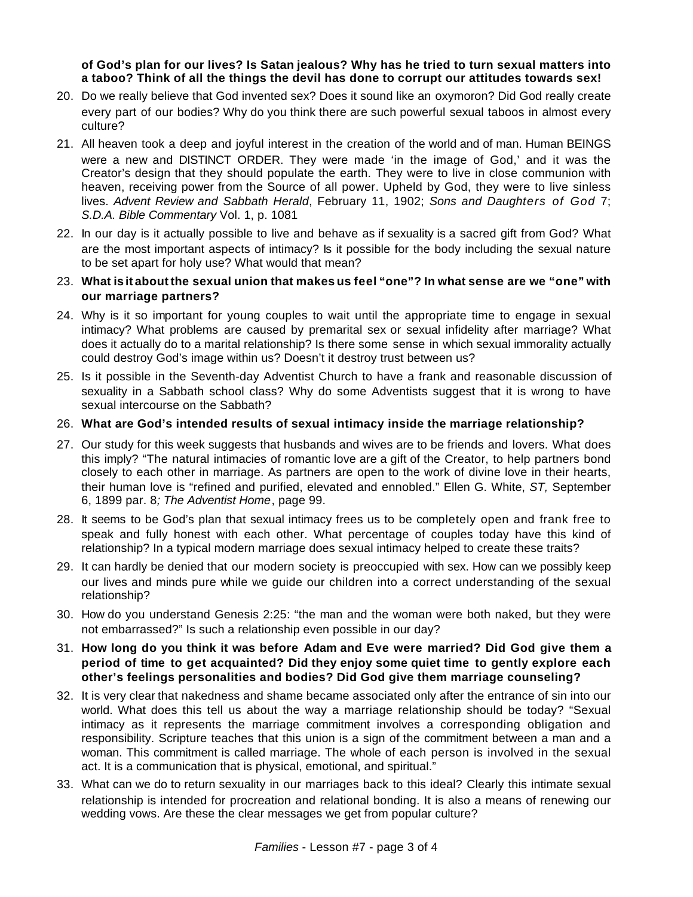## **of God's plan for our lives? Is Satan jealous? Why has he tried to turn sexual matters into a taboo? Think of all the things the devil has done to corrupt our attitudes towards sex!**

- 20. Do we really believe that God invented sex? Does it sound like an oxymoron? Did God really create every part of our bodies? Why do you think there are such powerful sexual taboos in almost every culture?
- 21. All heaven took a deep and joyful interest in the creation of the world and of man. Human BEINGS were a new and DISTINCT ORDER. They were made 'in the image of God,' and it was the Creator's design that they should populate the earth. They were to live in close communion with heaven, receiving power from the Source of all power. Upheld by God, they were to live sinless lives. *Advent Review and Sabbath Herald*, February 11, 1902; *Sons and Daughters of God* 7; *S.D.A. Bible Commentary* Vol. 1, p. 1081
- 22. In our day is it actually possible to live and behave as if sexuality is a sacred gift from God? What are the most important aspects of intimacy? Is it possible for the body including the sexual nature to be set apart for holy use? What would that mean?
- 23. What is it about the sexual union that makes us feel "one"? In what sense are we "one" with **our marriage partners?**
- 24. Why is it so important for young couples to wait until the appropriate time to engage in sexual intimacy? What problems are caused by premarital sex or sexual infidelity after marriage? What does it actually do to a marital relationship? Is there some sense in which sexual immorality actually could destroy God's image within us? Doesn't it destroy trust between us?
- 25. Is it possible in the Seventh-day Adventist Church to have a frank and reasonable discussion of sexuality in a Sabbath school class? Why do some Adventists suggest that it is wrong to have sexual intercourse on the Sabbath?

## 26. **What are God's intended results of sexual intimacy inside the marriage relationship?**

- 27. Our study for this week suggests that husbands and wives are to be friends and lovers. What does this imply? "The natural intimacies of romantic love are a gift of the Creator, to help partners bond closely to each other in marriage. As partners are open to the work of divine love in their hearts, their human love is "refined and purified, elevated and ennobled." Ellen G. White, *ST,* September 6, 1899 par. 8*; The Adventist Home*, page 99.
- 28. It seems to be God's plan that sexual intimacy frees us to be completely open and frank free to speak and fully honest with each other. What percentage of couples today have this kind of relationship? In a typical modern marriage does sexual intimacy helped to create these traits?
- 29. It can hardly be denied that our modern society is preoccupied with sex. How can we possibly keep our lives and minds pure while we guide our children into a correct understanding of the sexual relationship?
- 30. How do you understand Genesis 2:25: "the man and the woman were both naked, but they were not embarrassed?" Is such a relationship even possible in our day?
- 31. **How long do you think it was before Adam and Eve were married? Did God give them a period of time to get acquainted? Did they enjoy some quiet time to gently explore each other's feelings personalities and bodies? Did God give them marriage counseling?**
- 32. It is very clear that nakedness and shame became associated only after the entrance of sin into our world. What does this tell us about the way a marriage relationship should be today? "Sexual intimacy as it represents the marriage commitment involves a corresponding obligation and responsibility. Scripture teaches that this union is a sign of the commitment between a man and a woman. This commitment is called marriage. The whole of each person is involved in the sexual act. It is a communication that is physical, emotional, and spiritual."
- 33. What can we do to return sexuality in our marriages back to this ideal? Clearly this intimate sexual relationship is intended for procreation and relational bonding. It is also a means of renewing our wedding vows. Are these the clear messages we get from popular culture?